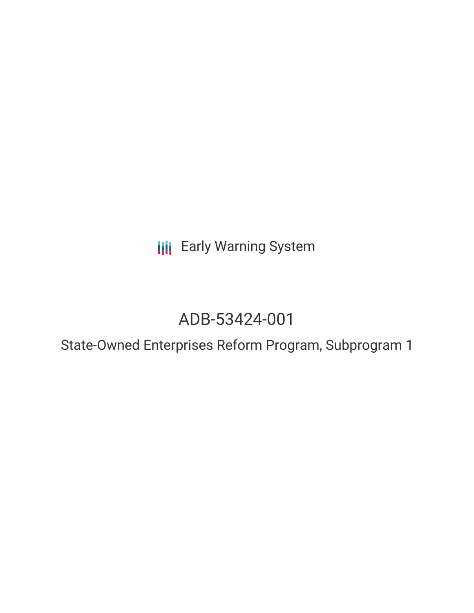**III** Early Warning System

## ADB-53424-001

State-Owned Enterprises Reform Program, Subprogram 1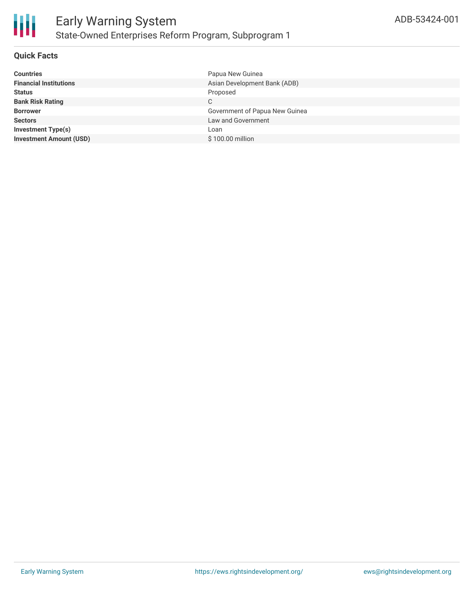

#### **Quick Facts**

| <b>Countries</b>               | Papua New Guinea               |
|--------------------------------|--------------------------------|
| <b>Financial Institutions</b>  | Asian Development Bank (ADB)   |
| <b>Status</b>                  | Proposed                       |
| <b>Bank Risk Rating</b>        | С                              |
| <b>Borrower</b>                | Government of Papua New Guinea |
| <b>Sectors</b>                 | Law and Government             |
| <b>Investment Type(s)</b>      | Loan                           |
| <b>Investment Amount (USD)</b> | \$100.00 million               |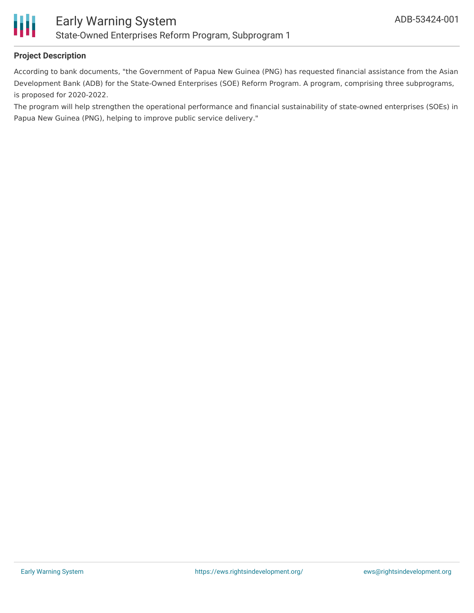

#### **Project Description**

According to bank documents, "the Government of Papua New Guinea (PNG) has requested financial assistance from the Asian Development Bank (ADB) for the State-Owned Enterprises (SOE) Reform Program. A program, comprising three subprograms, is proposed for 2020-2022.

The program will help strengthen the operational performance and financial sustainability of state-owned enterprises (SOEs) in Papua New Guinea (PNG), helping to improve public service delivery."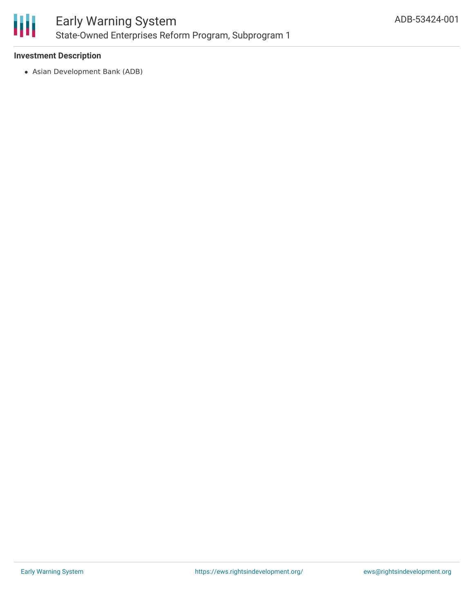

#### **Investment Description**

Asian Development Bank (ADB)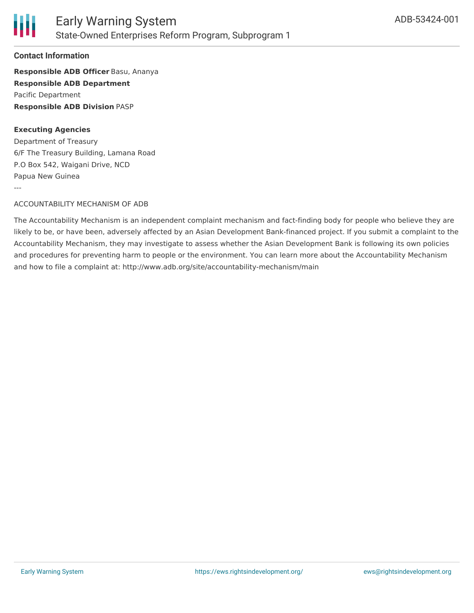

#### **Contact Information**

**Responsible ADB Officer** Basu, Ananya **Responsible ADB Department** Pacific Department **Responsible ADB Division** PASP

#### **Executing Agencies**

Department of Treasury 6/F The Treasury Building, Lamana Road P.O Box 542, Waigani Drive, NCD Papua New Guinea ---

#### ACCOUNTABILITY MECHANISM OF ADB

The Accountability Mechanism is an independent complaint mechanism and fact-finding body for people who believe they are likely to be, or have been, adversely affected by an Asian Development Bank-financed project. If you submit a complaint to the Accountability Mechanism, they may investigate to assess whether the Asian Development Bank is following its own policies and procedures for preventing harm to people or the environment. You can learn more about the Accountability Mechanism and how to file a complaint at: http://www.adb.org/site/accountability-mechanism/main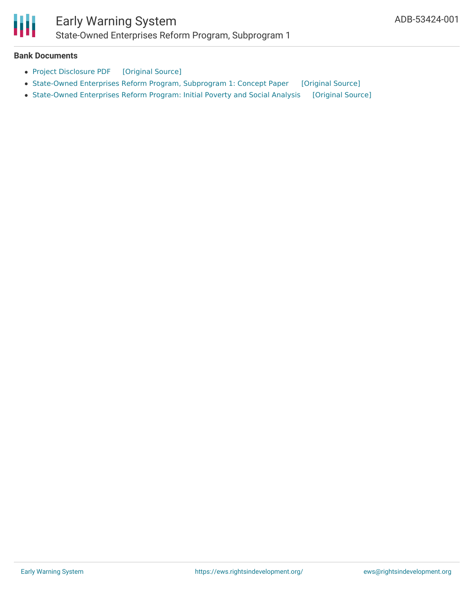# Ш

### Early Warning System State-Owned Enterprises Reform Program, Subprogram 1

#### **Bank Documents**

- Project [Disclosure](https://ewsdata.rightsindevelopment.org/files/documents/01/ADB-53424-001.pdf) PDF [\[Original](https://www.adb.org/printpdf/projects/53424-001/main) Source]
- [State-Owned](https://ewsdata.rightsindevelopment.org/files/documents/01/ADB-53424-001_ujiosJo.pdf) Enterprises Reform Program, Subprogram 1: Concept Paper [\[Original](https://www.adb.org/sites/default/files/project-documents/53424/53424-001-cp-en.pdf) Source]
- [State-Owned](https://ewsdata.rightsindevelopment.org/files/documents/01/ADB-53424-001_2cAA3C4.pdf) Enterprises Reform Program: Initial Poverty and Social Analysis [\[Original](https://www.adb.org/sites/default/files/project-documents/53424/53424-001-ipsa-en.pdf) Source]